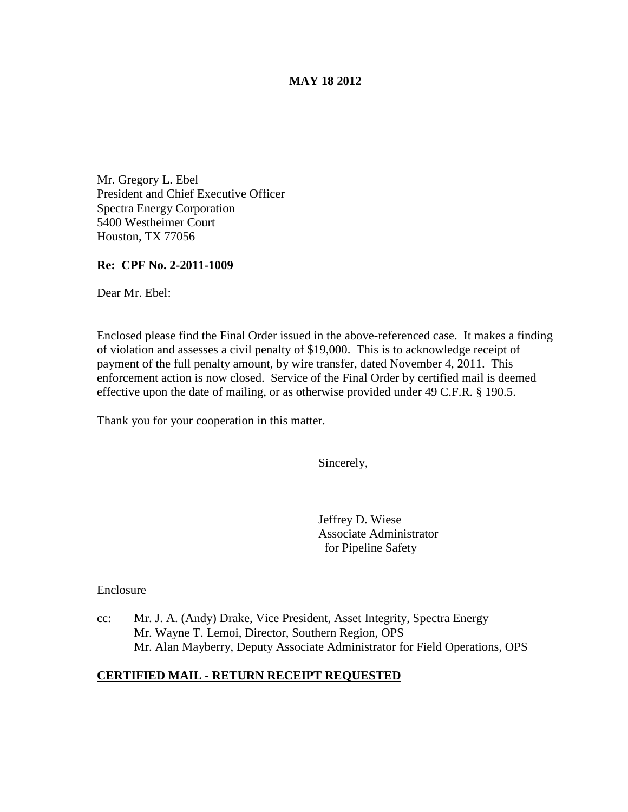## **MAY 18 2012**

Mr. Gregory L. Ebel President and Chief Executive Officer Spectra Energy Corporation 5400 Westheimer Court Houston, TX 77056

#### **Re: CPF No. 2-2011-1009**

Dear Mr. Ebel:

Enclosed please find the Final Order issued in the above-referenced case. It makes a finding of violation and assesses a civil penalty of \$19,000. This is to acknowledge receipt of payment of the full penalty amount, by wire transfer, dated November 4, 2011. This enforcement action is now closed. Service of the Final Order by certified mail is deemed effective upon the date of mailing, or as otherwise provided under 49 C.F.R. § 190.5.

Thank you for your cooperation in this matter.

Sincerely,

Jeffrey D. Wiese Associate Administrator for Pipeline Safety

Enclosure

cc: Mr. J. A. (Andy) Drake, Vice President, Asset Integrity, Spectra Energy Mr. Wayne T. Lemoi, Director, Southern Region, OPS Mr. Alan Mayberry, Deputy Associate Administrator for Field Operations, OPS

## **CERTIFIED MAIL - RETURN RECEIPT REQUESTED**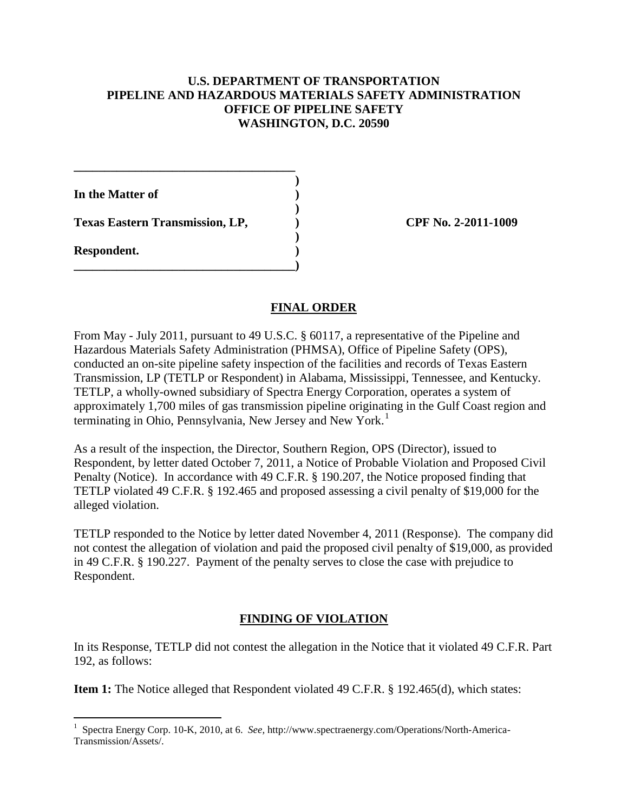## **U.S. DEPARTMENT OF TRANSPORTATION PIPELINE AND HAZARDOUS MATERIALS SAFETY ADMINISTRATION OFFICE OF PIPELINE SAFETY WASHINGTON, D.C. 20590**

**)**

**)**

**)**

**In the Matter of )**

**Texas Eastern Transmission, LP, ) CPF No. 2-2011-1009**

**\_\_\_\_\_\_\_\_\_\_\_\_\_\_\_\_\_\_\_\_\_\_\_\_\_\_\_\_\_\_\_\_\_\_\_\_**

**\_\_\_\_\_\_\_\_\_\_\_\_\_\_\_\_\_\_\_\_\_\_\_\_\_\_\_\_\_\_\_\_\_\_\_\_)**

**Respondent. )**

# **FINAL ORDER**

From May - July 2011, pursuant to 49 U.S.C. § 60117, a representative of the Pipeline and Hazardous Materials Safety Administration (PHMSA), Office of Pipeline Safety (OPS), conducted an on-site pipeline safety inspection of the facilities and records of Texas Eastern Transmission, LP (TETLP or Respondent) in Alabama, Mississippi, Tennessee, and Kentucky. TETLP, a wholly-owned subsidiary of Spectra Energy Corporation, operates a system of approximately 1,700 miles of gas transmission pipeline originating in the Gulf Coast region and terminating in Ohio, Pennsylvania, New Jersey and New York.<sup>[1](#page-1-0)</sup>

As a result of the inspection, the Director, Southern Region, OPS (Director), issued to Respondent, by letter dated October 7, 2011, a Notice of Probable Violation and Proposed Civil Penalty (Notice). In accordance with 49 C.F.R. § 190.207, the Notice proposed finding that TETLP violated 49 C.F.R. § 192.465 and proposed assessing a civil penalty of \$19,000 for the alleged violation.

TETLP responded to the Notice by letter dated November 4, 2011 (Response). The company did not contest the allegation of violation and paid the proposed civil penalty of \$19,000, as provided in 49 C.F.R. § 190.227. Payment of the penalty serves to close the case with prejudice to Respondent.

# **FINDING OF VIOLATION**

In its Response, TETLP did not contest the allegation in the Notice that it violated 49 C.F.R. Part 192, as follows:

**Item 1:** The Notice alleged that Respondent violated 49 C.F.R. § 192.465(d), which states:

<span id="page-1-0"></span> $\frac{1}{1}$  Spectra Energy Corp. 10-K, 2010, at 6. *See,* http://www.spectraenergy.com/Operations/North-America-Transmission/Assets/.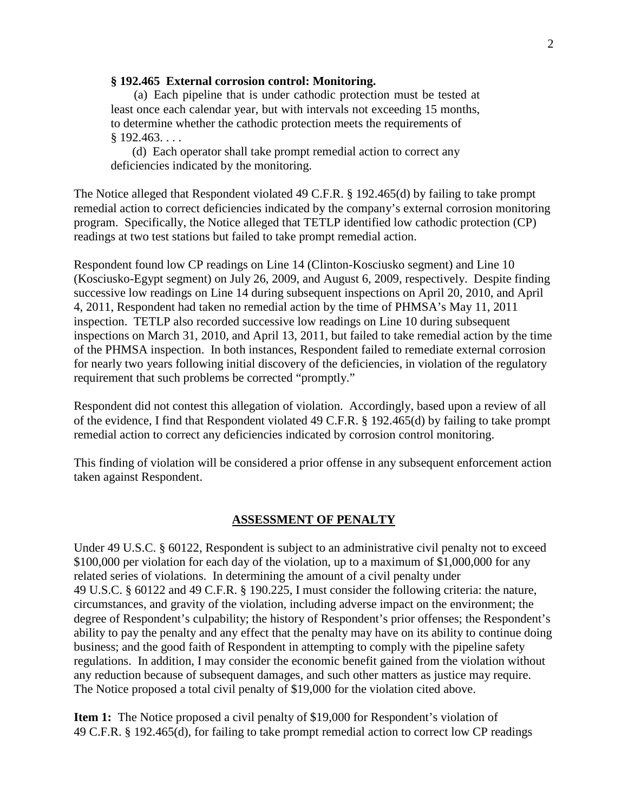#### **§ 192.465 External corrosion control: Monitoring.**

(a) Each pipeline that is under cathodic protection must be tested at least once each calendar year, but with intervals not exceeding 15 months, to determine whether the cathodic protection meets the requirements of  $$192.463...$ 

(d) Each operator shall take prompt remedial action to correct any deficiencies indicated by the monitoring.

The Notice alleged that Respondent violated 49 C.F.R. § 192.465(d) by failing to take prompt remedial action to correct deficiencies indicated by the company's external corrosion monitoring program. Specifically, the Notice alleged that TETLP identified low cathodic protection (CP) readings at two test stations but failed to take prompt remedial action.

Respondent found low CP readings on Line 14 (Clinton-Kosciusko segment) and Line 10 (Kosciusko-Egypt segment) on July 26, 2009, and August 6, 2009, respectively. Despite finding successive low readings on Line 14 during subsequent inspections on April 20, 2010, and April 4, 2011, Respondent had taken no remedial action by the time of PHMSA's May 11, 2011 inspection. TETLP also recorded successive low readings on Line 10 during subsequent inspections on March 31, 2010, and April 13, 2011, but failed to take remedial action by the time of the PHMSA inspection. In both instances, Respondent failed to remediate external corrosion for nearly two years following initial discovery of the deficiencies, in violation of the regulatory requirement that such problems be corrected "promptly."

Respondent did not contest this allegation of violation. Accordingly, based upon a review of all of the evidence, I find that Respondent violated 49 C.F.R. § 192.465(d) by failing to take prompt remedial action to correct any deficiencies indicated by corrosion control monitoring.

This finding of violation will be considered a prior offense in any subsequent enforcement action taken against Respondent.

#### **ASSESSMENT OF PENALTY**

Under 49 U.S.C. § 60122, Respondent is subject to an administrative civil penalty not to exceed \$100,000 per violation for each day of the violation, up to a maximum of \$1,000,000 for any related series of violations. In determining the amount of a civil penalty under 49 U.S.C. § 60122 and 49 C.F.R. § 190.225, I must consider the following criteria: the nature, circumstances, and gravity of the violation, including adverse impact on the environment; the degree of Respondent's culpability; the history of Respondent's prior offenses; the Respondent's ability to pay the penalty and any effect that the penalty may have on its ability to continue doing business; and the good faith of Respondent in attempting to comply with the pipeline safety regulations. In addition, I may consider the economic benefit gained from the violation without any reduction because of subsequent damages, and such other matters as justice may require. The Notice proposed a total civil penalty of \$19,000 for the violation cited above.

**Item 1:** The Notice proposed a civil penalty of \$19,000 for Respondent's violation of 49 C.F.R. § 192.465(d), for failing to take prompt remedial action to correct low CP readings